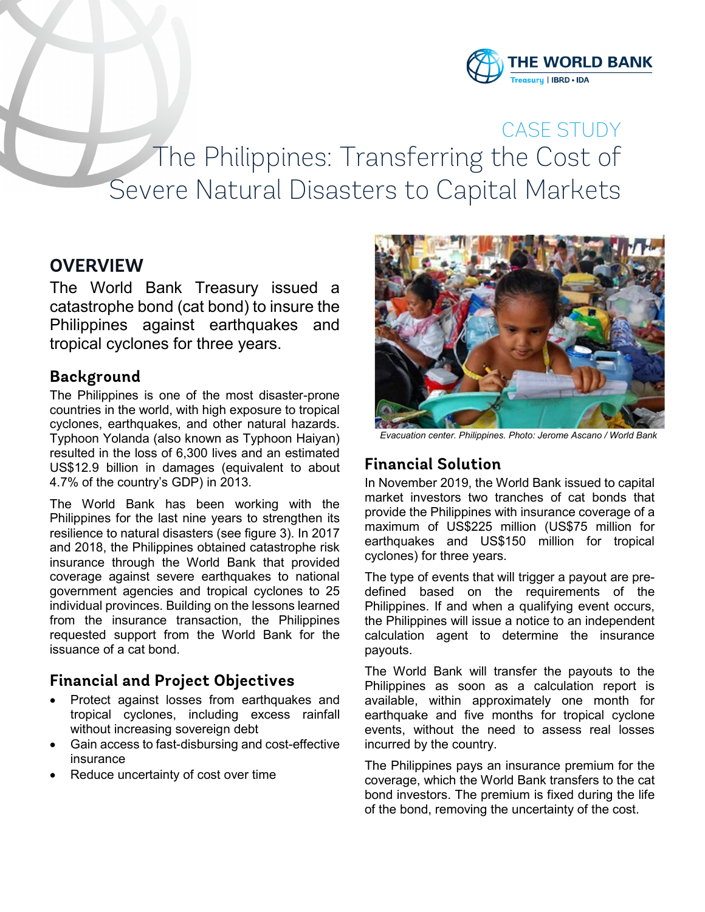

CASE STUDY The Philippines: Transferring the Cost of Severe Natural Disasters to Capital Markets

# **OVERVIEW**

The World Bank Treasury issued a catastrophe bond (cat bond) to insure the Philippines against earthquakes and tropical cyclones for three years.

### **Background**

The Philippines is one of the most disaster-prone countries in the world, with high exposure to tropical cyclones, earthquakes, and other natural hazards. Typhoon Yolanda (also known as Typhoon Haiyan) resulted in the loss of 6,300 lives and an estimated US\$12.9 billion in damages (equivalent to about 4.7% of the country's GDP) in 2013.

The World Bank has been working with the Philippines for the last nine years to strengthen its resilience to natural disasters (see figure 3). In 2017 and 2018, the Philippines obtained catastrophe risk insurance through the World Bank that provided coverage against severe earthquakes to national government agencies and tropical cyclones to 25 individual provinces. Building on the lessons learned from the insurance transaction, the Philippines requested support from the World Bank for the issuance of a cat bond.

### **Financial and Project Objectives**

- Protect against losses from earthquakes and tropical cyclones, including excess rainfall without increasing sovereign debt
- Gain access to fast-disbursing and cost-effective insurance
- Reduce uncertainty of cost over time



*Evacuation center. Philippines. Photo: Jerome Ascano / World Bank*

## **Financial Solution**

In November 2019, the World Bank issued to capital market investors two tranches of cat bonds that provide the Philippines with insurance coverage of a maximum of US\$225 million (US\$75 million for earthquakes and US\$150 million for tropical cyclones) for three years.

The type of events that will trigger a payout are predefined based on the requirements of the Philippines. If and when a qualifying event occurs, the Philippines will issue a notice to an independent calculation agent to determine the insurance payouts.

The World Bank will transfer the payouts to the Philippines as soon as a calculation report is available, within approximately one month for earthquake and five months for tropical cyclone events, without the need to assess real losses incurred by the country.

The Philippines pays an insurance premium for the coverage, which the World Bank transfers to the cat bond investors. The premium is fixed during the life of the bond, removing the uncertainty of the cost.